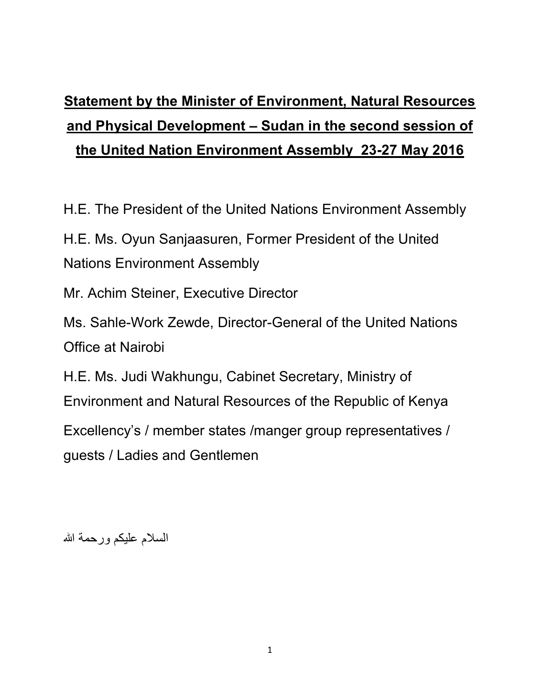## **Statement by the Minister of Environment, Natural Resources and Physical Development – Sudan in the second session of the United Nation Environment Assembly 23-27 May 2016**

H.E. The President of the United Nations Environment Assembly

H.E. Ms. Oyun Sanjaasuren, Former President of the United Nations Environment Assembly

Mr. Achim Steiner, Executive Director

Ms. Sahle-Work Zewde, Director-General of the United Nations Office at Nairobi

H.E. Ms. Judi Wakhungu, Cabinet Secretary, Ministry of Environment and Natural Resources of the Republic of Kenya

Excellency's / member states /manger group representatives / guests / Ladies and Gentlemen

السلام عليكم ورحمة الله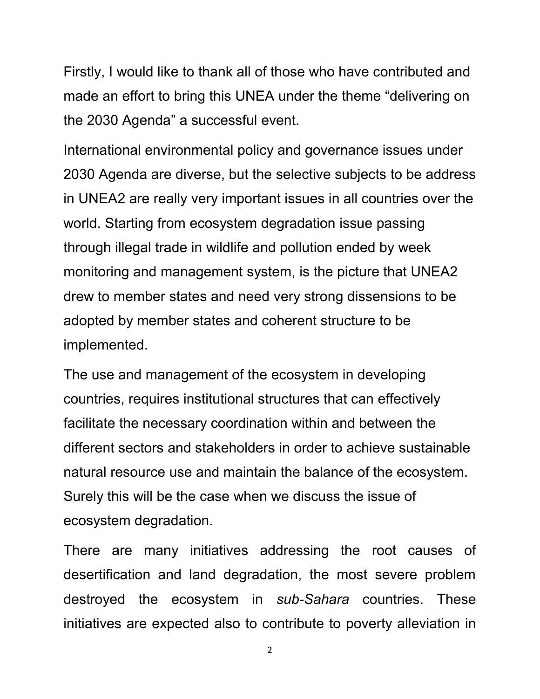Firstly, I would like to thank all of those who have contributed and made an effort to bring this UNEA under the theme "delivering on the 2030 Agenda" a successful event.

International environmental policy and governance issues under 2030 Agenda are diverse, but the selective subjects to be address in UNEA2 are really very important issues in all countries over the world. Starting from ecosystem degradation issue passing through illegal trade in wildlife and pollution ended by week monitoring and management system, is the picture that UNEA2 drew to member states and need very strong dissensions to be adopted by member states and coherent structure to be implemented.

The use and management of the ecosystem in developing countries, requires institutional structures that can effectively facilitate the necessary coordination within and between the different sectors and stakeholders in order to achieve sustainable natural resource use and maintain the balance of the ecosystem. Surely this will be the case when we discuss the issue of ecosystem degradation.

There are many initiatives addressing the root causes of desertification and land degradation, the most severe problem destroyed the ecosystem in *sub-Sahara* countries. These initiatives are expected also to contribute to poverty alleviation in

2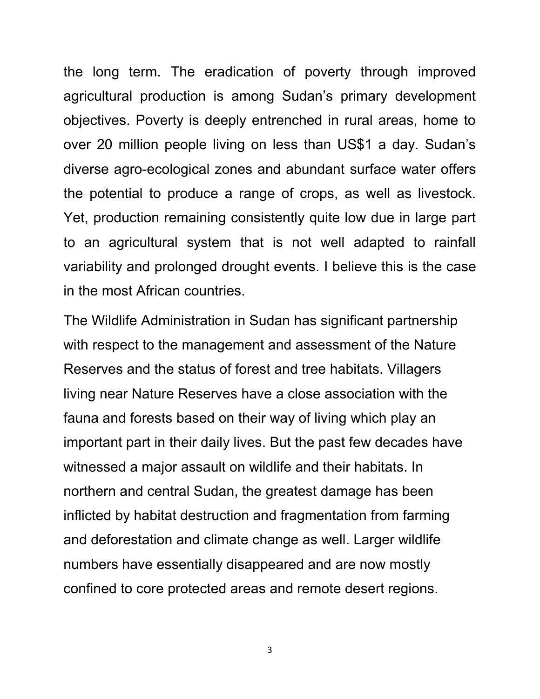the long term. The eradication of poverty through improved agricultural production is among Sudan's primary development objectives. Poverty is deeply entrenched in rural areas, home to over 20 million people living on less than US\$1 a day. Sudan's diverse agro-ecological zones and abundant surface water offers the potential to produce a range of crops, as well as livestock. Yet, production remaining consistently quite low due in large part to an agricultural system that is not well adapted to rainfall variability and prolonged drought events. I believe this is the case in the most African countries.

The Wildlife Administration in Sudan has significant partnership with respect to the management and assessment of the Nature Reserves and the status of forest and tree habitats. Villagers living near Nature Reserves have a close association with the fauna and forests based on their way of living which play an important part in their daily lives. But the past few decades have witnessed a major assault on wildlife and their habitats. In northern and central Sudan, the greatest damage has been inflicted by habitat destruction and fragmentation from farming and deforestation and climate change as well. Larger wildlife numbers have essentially disappeared and are now mostly confined to core protected areas and remote desert regions.

3